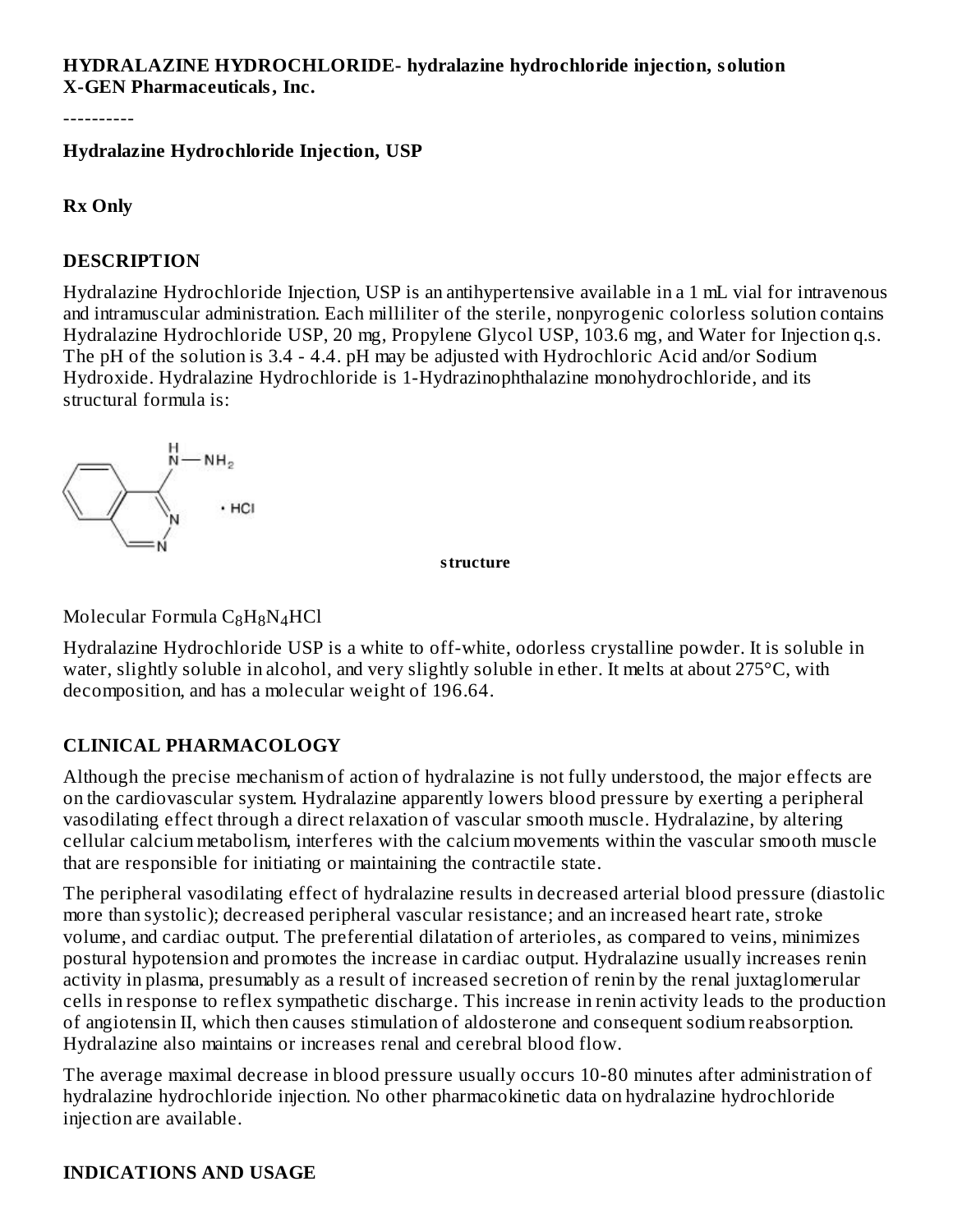#### **HYDRALAZINE HYDROCHLORIDE- hydralazine hydrochloride injection, solution X-GEN Pharmaceuticals, Inc.**

----------

#### **Hydralazine Hydrochloride Injection, USP**

#### **Rx Only**

#### **DESCRIPTION**

Hydralazine Hydrochloride Injection, USP is an antihypertensive available in a 1 mL vial for intravenous and intramuscular administration. Each milliliter of the sterile, nonpyrogenic colorless solution contains Hydralazine Hydrochloride USP, 20 mg, Propylene Glycol USP, 103.6 mg, and Water for Injection q.s. The pH of the solution is 3.4 - 4.4. pH may be adjusted with Hydrochloric Acid and/or Sodium Hydroxide. Hydralazine Hydrochloride is 1-Hydrazinophthalazine monohydrochloride, and its structural formula is:



**structure**

Molecular Formula  $\rm{C_8H_8N_4HCl}$ 

Hydralazine Hydrochloride USP is a white to off-white, odorless crystalline powder. It is soluble in water, slightly soluble in alcohol, and very slightly soluble in ether. It melts at about 275°C, with decomposition, and has a molecular weight of 196.64.

#### **CLINICAL PHARMACOLOGY**

Although the precise mechanism of action of hydralazine is not fully understood, the major effects are on the cardiovascular system. Hydralazine apparently lowers blood pressure by exerting a peripheral vasodilating effect through a direct relaxation of vascular smooth muscle. Hydralazine, by altering cellular calcium metabolism, interferes with the calcium movements within the vascular smooth muscle that are responsible for initiating or maintaining the contractile state.

The peripheral vasodilating effect of hydralazine results in decreased arterial blood pressure (diastolic more than systolic); decreased peripheral vascular resistance; and an increased heart rate, stroke volume, and cardiac output. The preferential dilatation of arterioles, as compared to veins, minimizes postural hypotension and promotes the increase in cardiac output. Hydralazine usually increases renin activity in plasma, presumably as a result of increased secretion of renin by the renal juxtaglomerular cells in response to reflex sympathetic discharge. This increase in renin activity leads to the production of angiotensin II, which then causes stimulation of aldosterone and consequent sodium reabsorption. Hydralazine also maintains or increases renal and cerebral blood flow.

The average maximal decrease in blood pressure usually occurs 10-80 minutes after administration of hydralazine hydrochloride injection. No other pharmacokinetic data on hydralazine hydrochloride injection are available.

#### **INDICATIONS AND USAGE**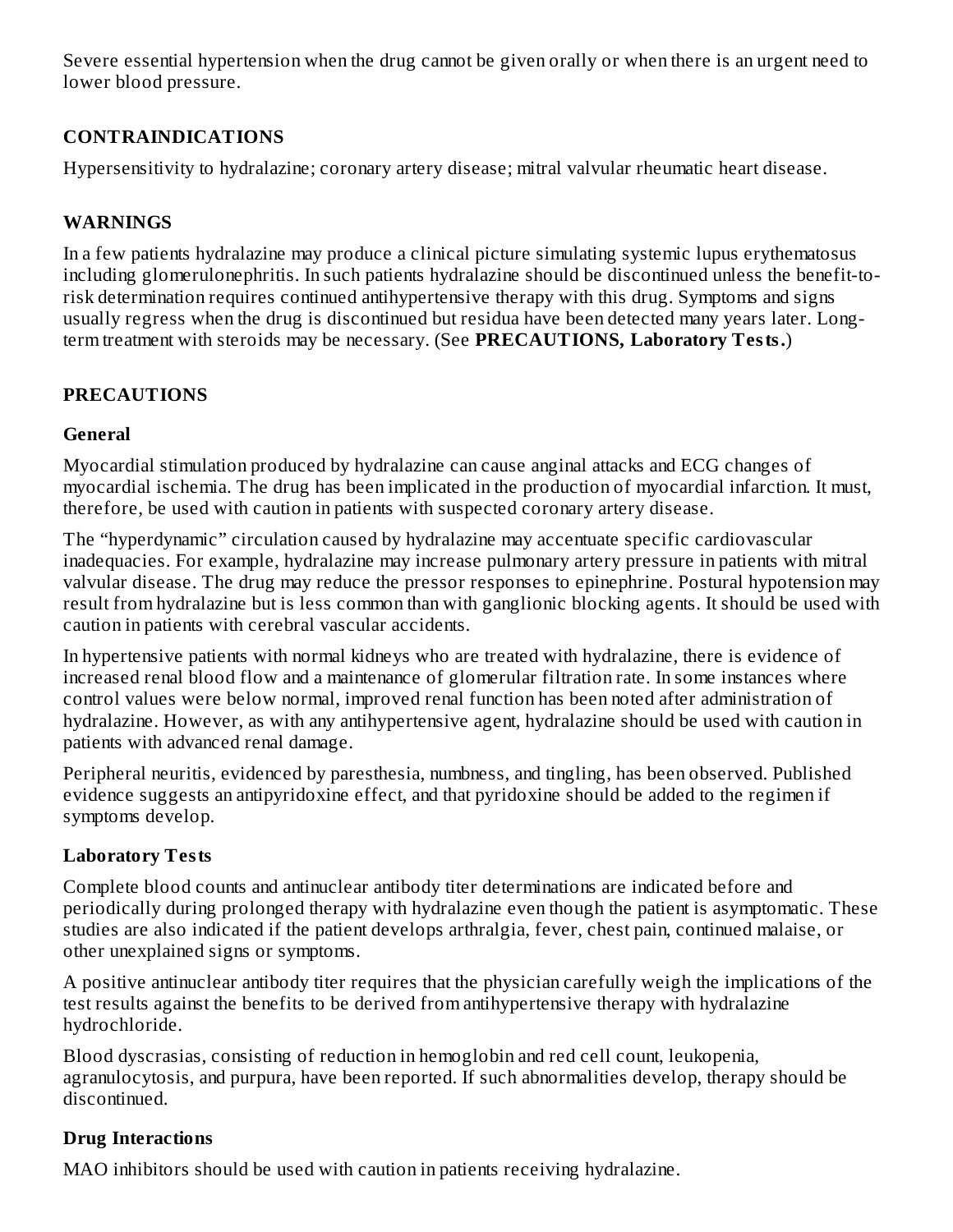Severe essential hypertension when the drug cannot be given orally or when there is an urgent need to lower blood pressure.

# **CONTRAINDICATIONS**

Hypersensitivity to hydralazine; coronary artery disease; mitral valvular rheumatic heart disease.

# **WARNINGS**

In a few patients hydralazine may produce a clinical picture simulating systemic lupus erythematosus including glomerulonephritis. In such patients hydralazine should be discontinued unless the benefit-torisk determination requires continued antihypertensive therapy with this drug. Symptoms and signs usually regress when the drug is discontinued but residua have been detected many years later. Longterm treatment with steroids may be necessary. (See **PRECAUTIONS, Laboratory Tests.**)

# **PRECAUTIONS**

## **General**

Myocardial stimulation produced by hydralazine can cause anginal attacks and ECG changes of myocardial ischemia. The drug has been implicated in the production of myocardial infarction. It must, therefore, be used with caution in patients with suspected coronary artery disease.

The "hyperdynamic" circulation caused by hydralazine may accentuate specific cardiovascular inadequacies. For example, hydralazine may increase pulmonary artery pressure in patients with mitral valvular disease. The drug may reduce the pressor responses to epinephrine. Postural hypotension may result from hydralazine but is less common than with ganglionic blocking agents. It should be used with caution in patients with cerebral vascular accidents.

In hypertensive patients with normal kidneys who are treated with hydralazine, there is evidence of increased renal blood flow and a maintenance of glomerular filtration rate. In some instances where control values were below normal, improved renal function has been noted after administration of hydralazine. However, as with any antihypertensive agent, hydralazine should be used with caution in patients with advanced renal damage.

Peripheral neuritis, evidenced by paresthesia, numbness, and tingling, has been observed. Published evidence suggests an antipyridoxine effect, and that pyridoxine should be added to the regimen if symptoms develop.

# **Laboratory Tests**

Complete blood counts and antinuclear antibody titer determinations are indicated before and periodically during prolonged therapy with hydralazine even though the patient is asymptomatic. These studies are also indicated if the patient develops arthralgia, fever, chest pain, continued malaise, or other unexplained signs or symptoms.

A positive antinuclear antibody titer requires that the physician carefully weigh the implications of the test results against the benefits to be derived from antihypertensive therapy with hydralazine hydrochloride.

Blood dyscrasias, consisting of reduction in hemoglobin and red cell count, leukopenia, agranulocytosis, and purpura, have been reported. If such abnormalities develop, therapy should be discontinued.

# **Drug Interactions**

MAO inhibitors should be used with caution in patients receiving hydralazine.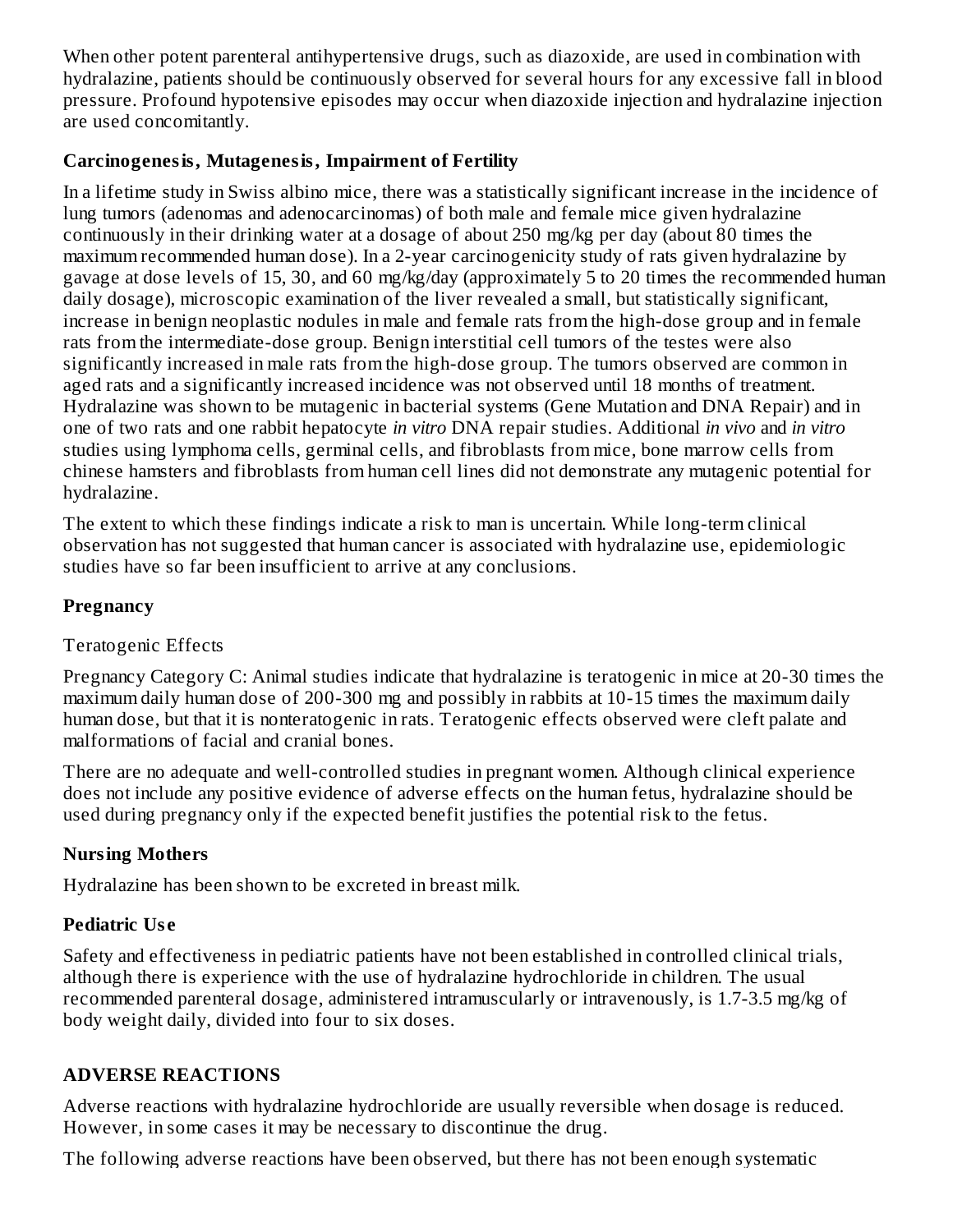When other potent parenteral antihypertensive drugs, such as diazoxide, are used in combination with hydralazine, patients should be continuously observed for several hours for any excessive fall in blood pressure. Profound hypotensive episodes may occur when diazoxide injection and hydralazine injection are used concomitantly.

### **Carcinogenesis, Mutagenesis, Impairment of Fertility**

In a lifetime study in Swiss albino mice, there was a statistically significant increase in the incidence of lung tumors (adenomas and adenocarcinomas) of both male and female mice given hydralazine continuously in their drinking water at a dosage of about 250 mg/kg per day (about 80 times the maximum recommended human dose). In a 2-year carcinogenicity study of rats given hydralazine by gavage at dose levels of 15, 30, and 60 mg/kg/day (approximately 5 to 20 times the recommended human daily dosage), microscopic examination of the liver revealed a small, but statistically significant, increase in benign neoplastic nodules in male and female rats from the high-dose group and in female rats from the intermediate-dose group. Benign interstitial cell tumors of the testes were also significantly increased in male rats from the high-dose group. The tumors observed are common in aged rats and a significantly increased incidence was not observed until 18 months of treatment. Hydralazine was shown to be mutagenic in bacterial systems (Gene Mutation and DNA Repair) and in one of two rats and one rabbit hepatocyte *in vitro* DNA repair studies. Additional *in vivo* and *in vitro* studies using lymphoma cells, germinal cells, and fibroblasts from mice, bone marrow cells from chinese hamsters and fibroblasts from human cell lines did not demonstrate any mutagenic potential for hydralazine.

The extent to which these findings indicate a risk to man is uncertain. While long-term clinical observation has not suggested that human cancer is associated with hydralazine use, epidemiologic studies have so far been insufficient to arrive at any conclusions.

### **Pregnancy**

## Teratogenic Effects

Pregnancy Category C: Animal studies indicate that hydralazine is teratogenic in mice at 20-30 times the maximum daily human dose of 200-300 mg and possibly in rabbits at 10-15 times the maximum daily human dose, but that it is nonteratogenic in rats. Teratogenic effects observed were cleft palate and malformations of facial and cranial bones.

There are no adequate and well-controlled studies in pregnant women. Although clinical experience does not include any positive evidence of adverse effects on the human fetus, hydralazine should be used during pregnancy only if the expected benefit justifies the potential risk to the fetus.

## **Nursing Mothers**

Hydralazine has been shown to be excreted in breast milk.

## **Pediatric Us e**

Safety and effectiveness in pediatric patients have not been established in controlled clinical trials, although there is experience with the use of hydralazine hydrochloride in children. The usual recommended parenteral dosage, administered intramuscularly or intravenously, is 1.7-3.5 mg/kg of body weight daily, divided into four to six doses.

## **ADVERSE REACTIONS**

Adverse reactions with hydralazine hydrochloride are usually reversible when dosage is reduced. However, in some cases it may be necessary to discontinue the drug.

The following adverse reactions have been observed, but there has not been enough systematic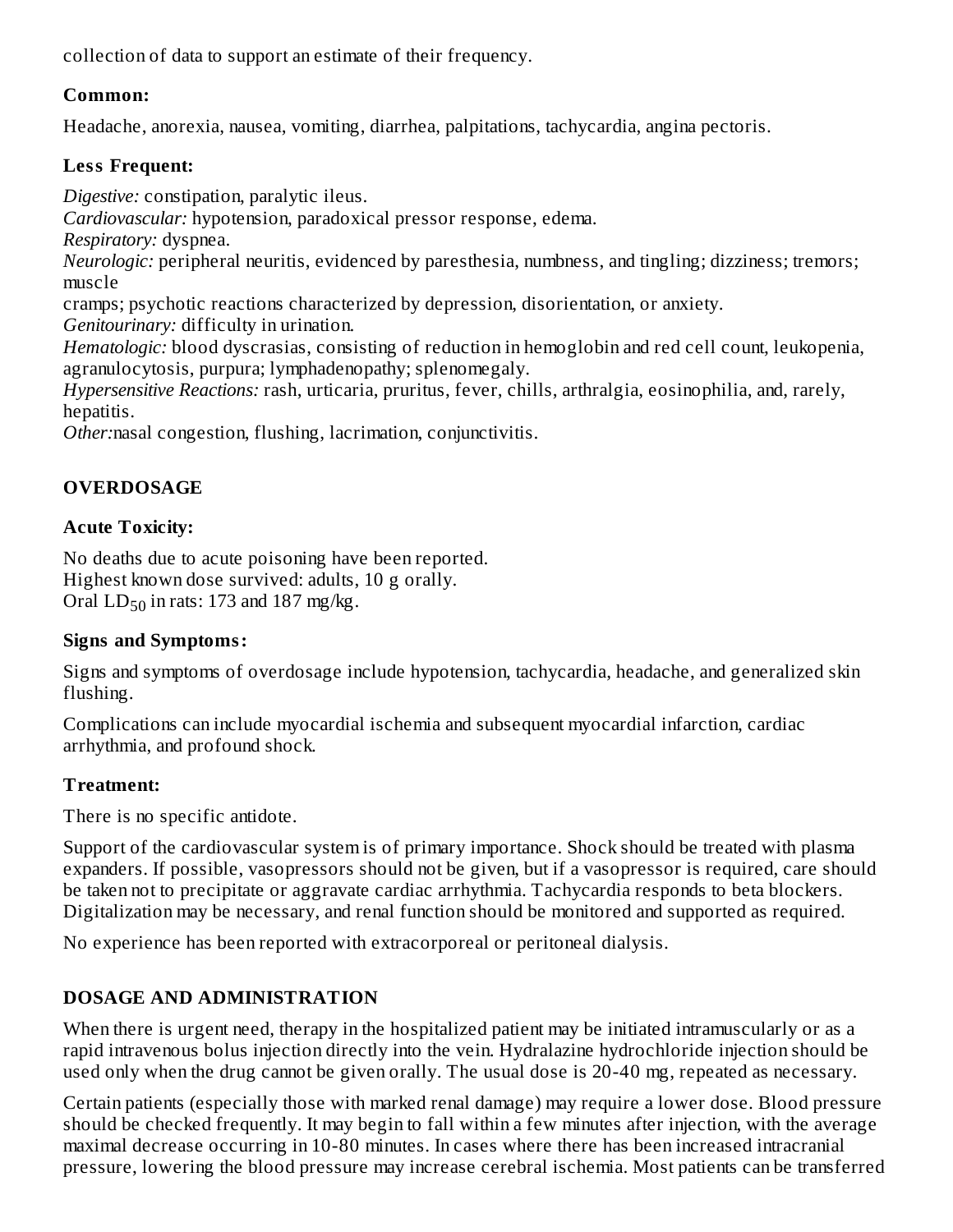collection of data to support an estimate of their frequency.

### **Common:**

Headache, anorexia, nausea, vomiting, diarrhea, palpitations, tachycardia, angina pectoris.

# **Less Frequent:**

*Digestive:* constipation, paralytic ileus.

*Cardiovascular:* hypotension, paradoxical pressor response, edema.

*Respiratory:* dyspnea.

*Neurologic:* peripheral neuritis, evidenced by paresthesia, numbness, and tingling; dizziness; tremors; muscle

cramps; psychotic reactions characterized by depression, disorientation, or anxiety. *Genitourinary:* difficulty in urination.

*Hematologic:* blood dyscrasias, consisting of reduction in hemoglobin and red cell count, leukopenia, agranulocytosis, purpura; lymphadenopathy; splenomegaly.

*Hypersensitive Reactions:* rash, urticaria, pruritus, fever, chills, arthralgia, eosinophilia, and, rarely, hepatitis.

*Other:*nasal congestion, flushing, lacrimation, conjunctivitis.

# **OVERDOSAGE**

# **Acute Toxicity:**

No deaths due to acute poisoning have been reported. Highest known dose survived: adults, 10 g orally. Oral  $LD_{50}$  in rats: 173 and 187 mg/kg.

## **Signs and Symptoms:**

Signs and symptoms of overdosage include hypotension, tachycardia, headache, and generalized skin flushing.

Complications can include myocardial ischemia and subsequent myocardial infarction, cardiac arrhythmia, and profound shock.

## **Treatment:**

There is no specific antidote.

Support of the cardiovascular system is of primary importance. Shock should be treated with plasma expanders. If possible, vasopressors should not be given, but if a vasopressor is required, care should be taken not to precipitate or aggravate cardiac arrhythmia. Tachycardia responds to beta blockers. Digitalization may be necessary, and renal function should be monitored and supported as required.

No experience has been reported with extracorporeal or peritoneal dialysis.

# **DOSAGE AND ADMINISTRATION**

When there is urgent need, therapy in the hospitalized patient may be initiated intramuscularly or as a rapid intravenous bolus injection directly into the vein. Hydralazine hydrochloride injection should be used only when the drug cannot be given orally. The usual dose is 20-40 mg, repeated as necessary.

Certain patients (especially those with marked renal damage) may require a lower dose. Blood pressure should be checked frequently. It may begin to fall within a few minutes after injection, with the average maximal decrease occurring in 10-80 minutes. In cases where there has been increased intracranial pressure, lowering the blood pressure may increase cerebral ischemia. Most patients can be transferred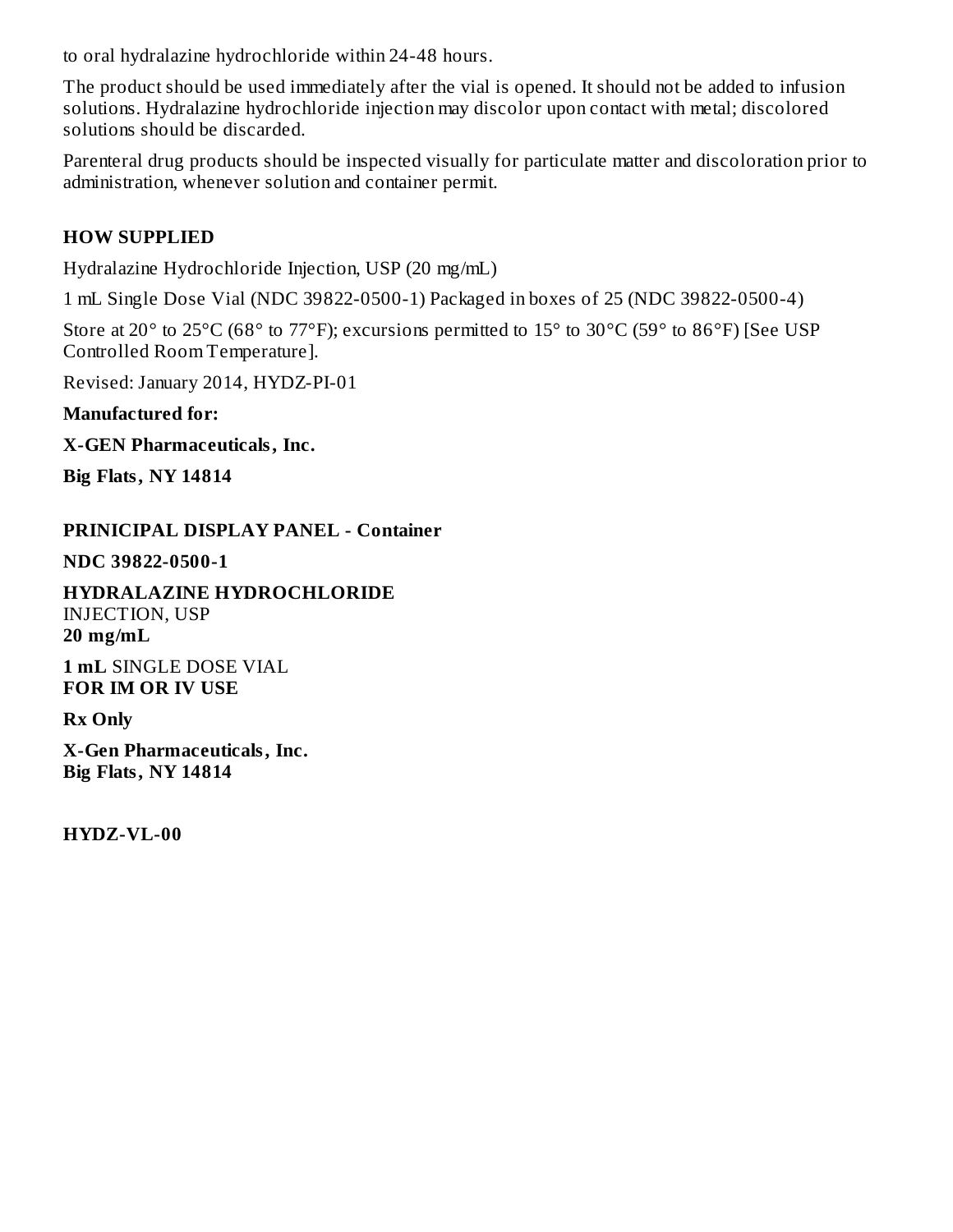to oral hydralazine hydrochloride within 24-48 hours.

The product should be used immediately after the vial is opened. It should not be added to infusion solutions. Hydralazine hydrochloride injection may discolor upon contact with metal; discolored solutions should be discarded.

Parenteral drug products should be inspected visually for particulate matter and discoloration prior to administration, whenever solution and container permit.

#### **HOW SUPPLIED**

Hydralazine Hydrochloride Injection, USP (20 mg/mL)

1 mL Single Dose Vial (NDC 39822-0500-1) Packaged in boxes of 25 (NDC 39822-0500-4)

Store at 20° to 25°C (68° to 77°F); excursions permitted to 15° to 30°C (59° to 86°F) [See USP Controlled Room Temperature].

Revised: January 2014, HYDZ-PI-01

**Manufactured for:**

**X-GEN Pharmaceuticals, Inc.**

**Big Flats, NY 14814**

#### **PRINICIPAL DISPLAY PANEL - Container**

**NDC 39822-0500-1**

**HYDRALAZINE HYDROCHLORIDE** INJECTION, USP **20 mg/mL**

**1 mL** SINGLE DOSE VIAL **FOR IM OR IV USE**

**Rx Only**

**X-Gen Pharmaceuticals, Inc. Big Flats, NY 14814**

**HYDZ-VL-00**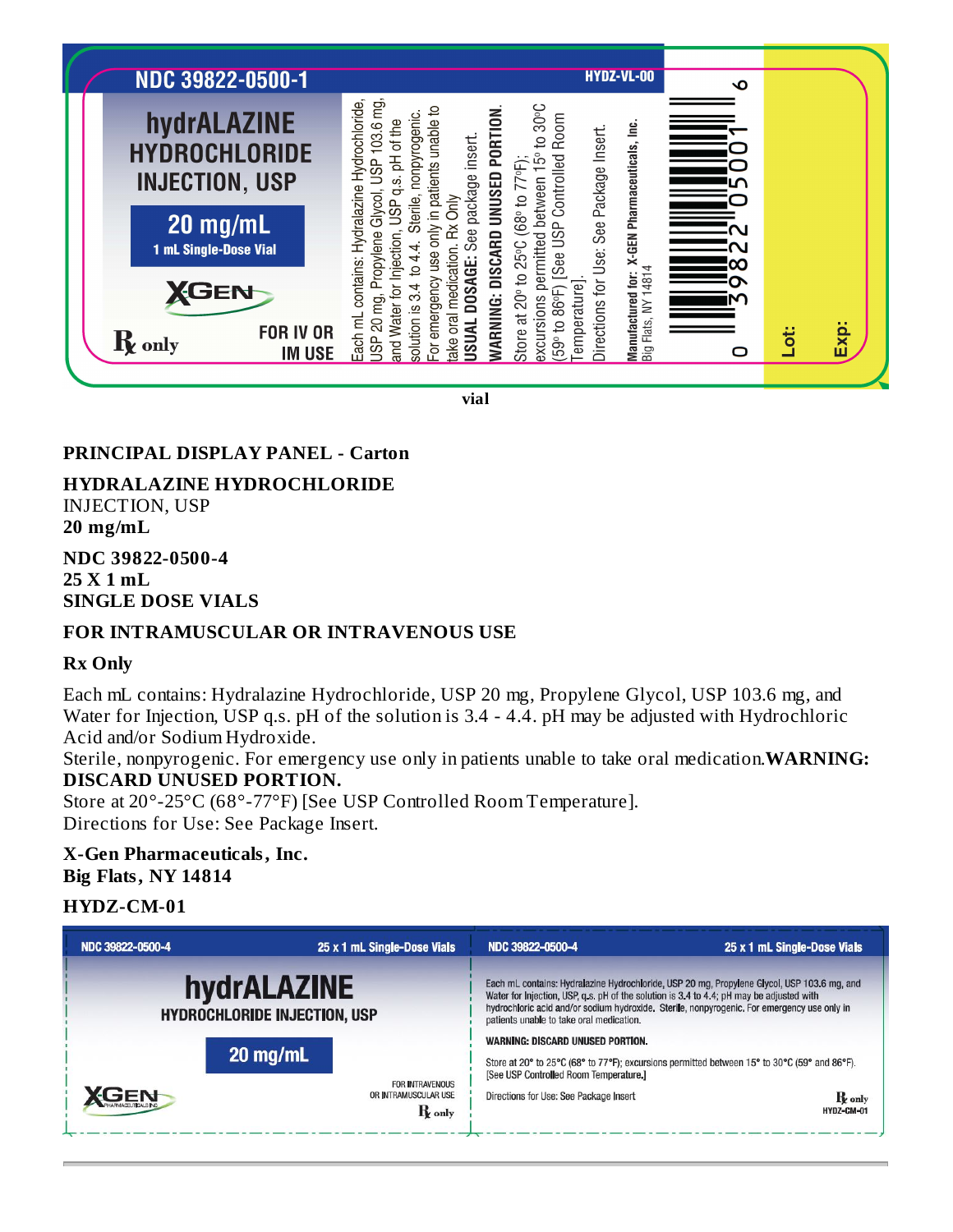

**vial**

#### **PRINCIPAL DISPLAY PANEL - Carton**

**HYDRALAZINE HYDROCHLORIDE** INJECTION, USP **20 mg/mL**

**NDC 39822-0500-4 25 X 1 mL SINGLE DOSE VIALS**

#### **FOR INTRAMUSCULAR OR INTRAVENOUS USE**

#### **Rx Only**

Each mL contains: Hydralazine Hydrochloride, USP 20 mg, Propylene Glycol, USP 103.6 mg, and Water for Injection, USP q.s. pH of the solution is 3.4 - 4.4. pH may be adjusted with Hydrochloric Acid and/or Sodium Hydroxide.

Sterile, nonpyrogenic. For emergency use only in patients unable to take oral medication.**WARNING: DISCARD UNUSED PORTION.**

Store at 20°-25°C (68°-77°F) [See USP Controlled Room Temperature]. Directions for Use: See Package Insert.

#### **X-Gen Pharmaceuticals, Inc. Big Flats, NY 14814**

#### **HYDZ-CM-01**

| NDC 39822-0500-4                                   | 25 x 1 mL Single-Dose Vials                                  | NDC 39822-0500-4                                                                                                                                                                                                                                                                                                                   | 25 x 1 mL Single-Dose Vials |  |  |  |
|----------------------------------------------------|--------------------------------------------------------------|------------------------------------------------------------------------------------------------------------------------------------------------------------------------------------------------------------------------------------------------------------------------------------------------------------------------------------|-----------------------------|--|--|--|
| hydrALAZINE<br><b>HYDROCHLORIDE INJECTION, USP</b> |                                                              | Each mL contains: Hydralazine Hydrochloride, USP 20 mg, Propylene Glycol, USP 103.6 mg, and<br>Water for Injection, USP, q,s, pH of the solution is 3.4 to 4.4; pH may be adjusted with<br>hydrochloric acid and/or sodium hydroxide. Sterile, nonpyrogenic. For emergency use only in<br>patients unable to take oral medication. |                             |  |  |  |
|                                                    | $20$ mg/mL<br><b>FOR INTRAVENOUS</b><br>OR INTRAMUSCULAR USE | <b>WARNING: DISCARD UNUSED PORTION.</b><br>Store at 20° to 25°C (68° to 77°F); excursions permitted between 15° to 30°C (59° and 86°F).<br>[See USP Controlled Room Temperature.]<br>Directions for Use: See Package Insert                                                                                                        | R only                      |  |  |  |
|                                                    | $\bf{R}$ only                                                |                                                                                                                                                                                                                                                                                                                                    | HYDZ-CM-01                  |  |  |  |